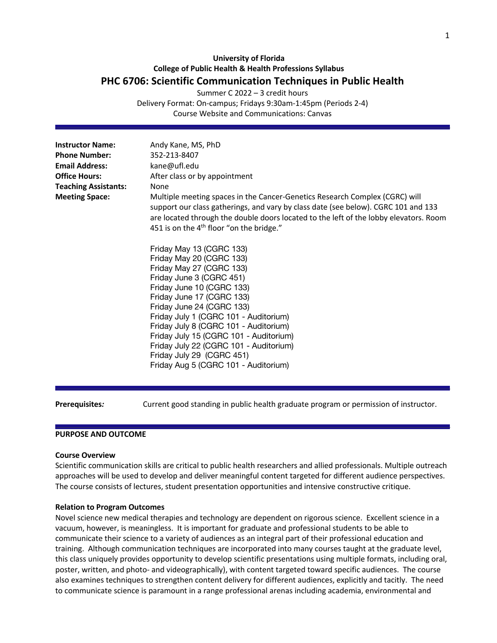# **University of Florida College of Public Health & Health Professions Syllabus PHC 6706: Scientific Communication Techniques in Public Health**

Summer C 2022 – 3 credit hours

Delivery Format: On-campus; Fridays 9:30am-1:45pm (Periods 2-4) Course Website and Communications: Canvas

| <b>Instructor Name:</b><br><b>Phone Number:</b><br><b>Email Address:</b><br><b>Office Hours:</b><br><b>Teaching Assistants:</b><br><b>Meeting Space:</b> | Andy Kane, MS, PhD<br>352-213-8407<br>kane@ufl.edu<br>After class or by appointment<br>None<br>Multiple meeting spaces in the Cancer-Genetics Research Complex (CGRC) will<br>support our class gatherings, and vary by class date (see below). CGRC 101 and 133<br>are located through the double doors located to the left of the lobby elevators. Room<br>451 is on the 4 <sup>th</sup> floor "on the bridge."<br>Friday May 13 (CGRC 133)<br>Friday May 20 (CGRC 133)<br>Friday May 27 (CGRC 133)<br>Friday June 3 (CGRC 451)<br>Friday June 10 (CGRC 133)<br>Friday June 17 (CGRC 133)<br>Friday June 24 (CGRC 133)<br>Friday July 1 (CGRC 101 - Auditorium)<br>Friday July 8 (CGRC 101 - Auditorium)<br>Friday July 15 (CGRC 101 - Auditorium) |
|----------------------------------------------------------------------------------------------------------------------------------------------------------|------------------------------------------------------------------------------------------------------------------------------------------------------------------------------------------------------------------------------------------------------------------------------------------------------------------------------------------------------------------------------------------------------------------------------------------------------------------------------------------------------------------------------------------------------------------------------------------------------------------------------------------------------------------------------------------------------------------------------------------------------|
|                                                                                                                                                          | Friday July 22 (CGRC 101 - Auditorium)<br>Friday July 29 (CGRC 451)<br>Friday Aug 5 (CGRC 101 - Auditorium)                                                                                                                                                                                                                                                                                                                                                                                                                                                                                                                                                                                                                                          |

**Prerequisites***:* Current good standing in public health graduate program or permission of instructor.

## **PURPOSE AND OUTCOME**

## **Course Overview**

Scientific communication skills are critical to public health researchers and allied professionals. Multiple outreach approaches will be used to develop and deliver meaningful content targeted for different audience perspectives. The course consists of lectures, student presentation opportunities and intensive constructive critique.

#### **Relation to Program Outcomes**

Novel science new medical therapies and technology are dependent on rigorous science. Excellent science in a vacuum, however, is meaningless. It is important for graduate and professional students to be able to communicate their science to a variety of audiences as an integral part of their professional education and training. Although communication techniques are incorporated into many courses taught at the graduate level, this class uniquely provides opportunity to develop scientific presentations using multiple formats, including oral, poster, written, and photo- and videographically), with content targeted toward specific audiences. The course also examines techniques to strengthen content delivery for different audiences, explicitly and tacitly. The need to communicate science is paramount in a range professional arenas including academia, environmental and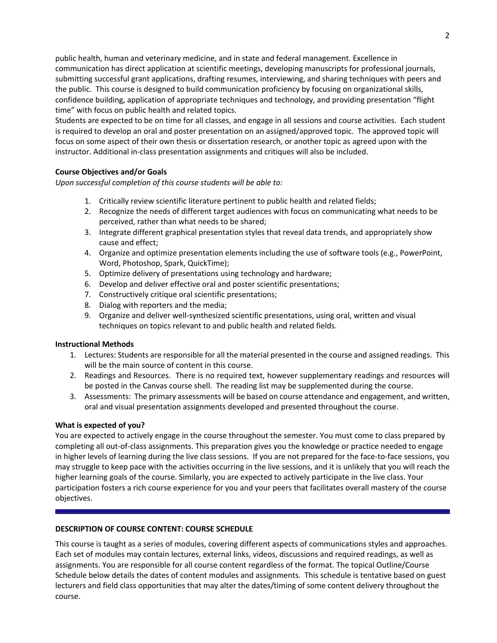public health, human and veterinary medicine, and in state and federal management. Excellence in communication has direct application at scientific meetings, developing manuscripts for professional journals, submitting successful grant applications, drafting resumes, interviewing, and sharing techniques with peers and the public. This course is designed to build communication proficiency by focusing on organizational skills, confidence building, application of appropriate techniques and technology, and providing presentation "flight time" with focus on public health and related topics.

Students are expected to be on time for all classes, and engage in all sessions and course activities. Each student is required to develop an oral and poster presentation on an assigned/approved topic. The approved topic will focus on some aspect of their own thesis or dissertation research, or another topic as agreed upon with the instructor. Additional in-class presentation assignments and critiques will also be included.

# **Course Objectives and/or Goals**

*Upon successful completion of this course students will be able to:*

- 1. Critically review scientific literature pertinent to public health and related fields;
- 2. Recognize the needs of different target audiences with focus on communicating what needs to be perceived, rather than what needs to be shared;
- 3. Integrate different graphical presentation styles that reveal data trends, and appropriately show cause and effect;
- 4. Organize and optimize presentation elements including the use of software tools (e.g., PowerPoint, Word, Photoshop, Spark, QuickTime);
- 5. Optimize delivery of presentations using technology and hardware;
- 6. Develop and deliver effective oral and poster scientific presentations;
- 7. Constructively critique oral scientific presentations;
- 8. Dialog with reporters and the media;
- 9. Organize and deliver well-synthesized scientific presentations, using oral, written and visual techniques on topics relevant to and public health and related fields.

# **Instructional Methods**

- 1. Lectures: Students are responsible for all the material presented in the course and assigned readings. This will be the main source of content in this course.
- 2. Readings and Resources. There is no required text, however supplementary readings and resources will be posted in the Canvas course shell. The reading list may be supplemented during the course.
- 3. Assessments: The primary assessments will be based on course attendance and engagement, and written, oral and visual presentation assignments developed and presented throughout the course.

# **What is expected of you?**

You are expected to actively engage in the course throughout the semester. You must come to class prepared by completing all out-of-class assignments. This preparation gives you the knowledge or practice needed to engage in higher levels of learning during the live class sessions. If you are not prepared for the face-to-face sessions, you may struggle to keep pace with the activities occurring in the live sessions, and it is unlikely that you will reach the higher learning goals of the course. Similarly, you are expected to actively participate in the live class. Your participation fosters a rich course experience for you and your peers that facilitates overall mastery of the course objectives.

# **DESCRIPTION OF COURSE CONTENT: COURSE SCHEDULE**

This course is taught as a series of modules, covering different aspects of communications styles and approaches. Each set of modules may contain lectures, external links, videos, discussions and required readings, as well as assignments. You are responsible for all course content regardless of the format. The topical Outline/Course Schedule below details the dates of content modules and assignments. This schedule is tentative based on guest lecturers and field class opportunities that may alter the dates/timing of some content delivery throughout the course.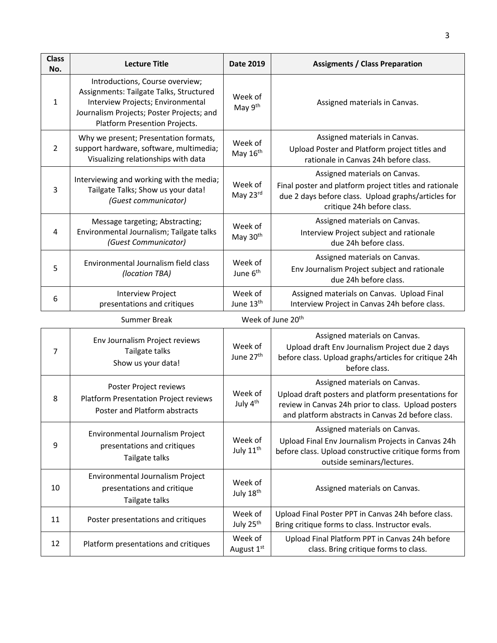| <b>Class</b><br>No. | <b>Lecture Title</b>                                                                                                                                                                          | Date 2019                        | <b>Assigments / Class Preparation</b>                                                                                                                                                            |  |  |  |  |
|---------------------|-----------------------------------------------------------------------------------------------------------------------------------------------------------------------------------------------|----------------------------------|--------------------------------------------------------------------------------------------------------------------------------------------------------------------------------------------------|--|--|--|--|
| $\mathbf{1}$        | Introductions, Course overview;<br>Assignments: Tailgate Talks, Structured<br>Interview Projects; Environmental<br>Journalism Projects; Poster Projects; and<br>Platform Presention Projects. | Week of<br>May 9th               | Assigned materials in Canvas.                                                                                                                                                                    |  |  |  |  |
| 2                   | Why we present; Presentation formats,<br>support hardware, software, multimedia;<br>Visualizing relationships with data                                                                       | Week of<br>May 16th              | Assigned materials in Canvas.<br>Upload Poster and Platform project titles and<br>rationale in Canvas 24h before class.                                                                          |  |  |  |  |
| 3                   | Interviewing and working with the media;<br>Tailgate Talks; Show us your data!<br>(Guest communicator)                                                                                        | Week of<br>May 23rd              | Assigned materials on Canvas.<br>Final poster and platform project titles and rationale<br>due 2 days before class. Upload graphs/articles for<br>critique 24h before class.                     |  |  |  |  |
| 4                   | Message targeting; Abstracting;<br>Environmental Journalism; Tailgate talks<br>(Guest Communicator)                                                                                           | Week of<br>May 30th              | Assigned materials on Canvas.<br>Interview Project subject and rationale<br>due 24h before class.                                                                                                |  |  |  |  |
| 5                   | Environmental Journalism field class<br>(location TBA)                                                                                                                                        | Week of<br>June 6 <sup>th</sup>  | Assigned materials on Canvas.<br>Env Journalism Project subject and rationale<br>due 24h before class.                                                                                           |  |  |  |  |
| 6                   | Interview Project<br>presentations and critiques                                                                                                                                              | Week of<br>June 13th             | Assigned materials on Canvas. Upload Final<br>Interview Project in Canvas 24h before class.                                                                                                      |  |  |  |  |
|                     | <b>Summer Break</b>                                                                                                                                                                           | Week of June 20 <sup>th</sup>    |                                                                                                                                                                                                  |  |  |  |  |
| 7                   | Env Journalism Project reviews<br>Tailgate talks<br>Show us your data!                                                                                                                        | Week of<br>June 27th             | Assigned materials on Canvas.<br>Upload draft Env Journalism Project due 2 days<br>before class. Upload graphs/articles for critique 24h<br>before class.                                        |  |  |  |  |
| 8                   | Poster Project reviews<br>Platform Presentation Project reviews<br>Poster and Platform abstracts                                                                                              | Week of<br>July 4 <sup>th</sup>  | Assigned materials on Canvas.<br>Upload draft posters and platform presentations for<br>review in Canvas 24h prior to class. Upload posters<br>and platform abstracts in Canvas 2d before class. |  |  |  |  |
| 9                   | Environmental Journalism Project<br>presentations and critiques<br>Tailgate talks                                                                                                             | Week of<br>July 11 <sup>th</sup> | Assigned materials on Canvas.<br>Upload Final Env Journalism Projects in Canvas 24h<br>before class. Upload constructive critique forms from<br>outside seminars/lectures.                       |  |  |  |  |
| 10                  | Environmental Journalism Project<br>presentations and critique<br>Tailgate talks                                                                                                              | Week of<br>July 18th             | Assigned materials on Canvas.                                                                                                                                                                    |  |  |  |  |
| 11                  | Poster presentations and critiques                                                                                                                                                            | Week of<br>July 25 <sup>th</sup> | Upload Final Poster PPT in Canvas 24h before class.<br>Bring critique forms to class. Instructor evals.                                                                                          |  |  |  |  |
| 12                  | Platform presentations and critiques                                                                                                                                                          | Week of<br>August 1st            | Upload Final Platform PPT in Canvas 24h before<br>class. Bring critique forms to class.                                                                                                          |  |  |  |  |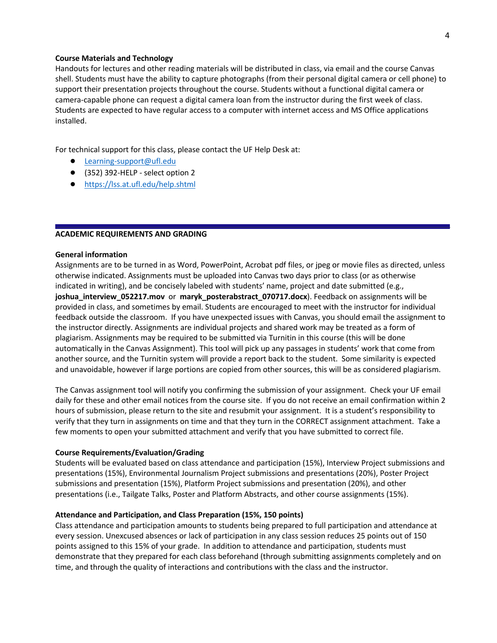# **Course Materials and Technology**

Handouts for lectures and other reading materials will be distributed in class, via email and the course Canvas shell. Students must have the ability to capture photographs (from their personal digital camera or cell phone) to support their presentation projects throughout the course. Students without a functional digital camera or camera-capable phone can request a digital camera loan from the instructor during the first week of class. Students are expected to have regular access to a computer with internet access and MS Office applications installed.

For technical support for this class, please contact the UF Help Desk at:

- Learning-support@ufl.edu
- (352) 392-HELP select option 2
- https://lss.at.ufl.edu/help.shtml

## **ACADEMIC REQUIREMENTS AND GRADING**

#### **General information**

Assignments are to be turned in as Word, PowerPoint, Acrobat pdf files, or jpeg or movie files as directed, unless otherwise indicated. Assignments must be uploaded into Canvas two days prior to class (or as otherwise indicated in writing), and be concisely labeled with students' name, project and date submitted (e.g., **joshua\_interview\_052217.mov** or **maryk\_posterabstract\_070717.docx**). Feedback on assignments will be provided in class, and sometimes by email. Students are encouraged to meet with the instructor for individual feedback outside the classroom. If you have unexpected issues with Canvas, you should email the assignment to the instructor directly. Assignments are individual projects and shared work may be treated as a form of plagiarism. Assignments may be required to be submitted via Turnitin in this course (this will be done automatically in the Canvas Assignment). This tool will pick up any passages in students' work that come from another source, and the Turnitin system will provide a report back to the student. Some similarity is expected and unavoidable, however if large portions are copied from other sources, this will be as considered plagiarism.

The Canvas assignment tool will notify you confirming the submission of your assignment. Check your UF email daily for these and other email notices from the course site. If you do not receive an email confirmation within 2 hours of submission, please return to the site and resubmit your assignment. It is a student's responsibility to verify that they turn in assignments on time and that they turn in the CORRECT assignment attachment. Take a few moments to open your submitted attachment and verify that you have submitted to correct file.

#### **Course Requirements/Evaluation/Grading**

Students will be evaluated based on class attendance and participation (15%), Interview Project submissions and presentations (15%), Environmental Journalism Project submissions and presentations (20%), Poster Project submissions and presentation (15%), Platform Project submissions and presentation (20%), and other presentations (i.e., Tailgate Talks, Poster and Platform Abstracts, and other course assignments (15%).

#### **Attendance and Participation, and Class Preparation (15%, 150 points)**

Class attendance and participation amounts to students being prepared to full participation and attendance at every session. Unexcused absences or lack of participation in any class session reduces 25 points out of 150 points assigned to this 15% of your grade. In addition to attendance and participation, students must demonstrate that they prepared for each class beforehand (through submitting assignments completely and on time, and through the quality of interactions and contributions with the class and the instructor.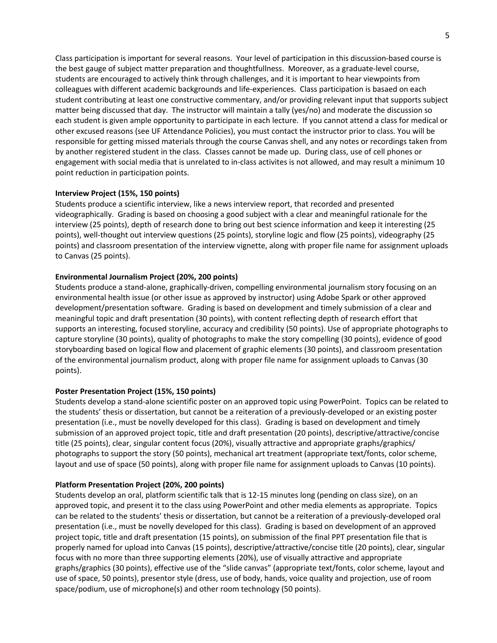Class participation is important for several reasons. Your level of participation in this discussion-based course is the best gauge of subject matter preparation and thoughtfullness. Moreover, as a graduate-level course, students are encouraged to actively think through challenges, and it is important to hear viewpoints from colleagues with different academic backgrounds and life-experiences. Class participation is basaed on each student contributing at least one constructive commentary, and/or providing relevant input that supports subject matter being discussed that day. The instructor will maintain a tally (yes/no) and moderate the discussion so each student is given ample opportunity to participate in each lecture. If you cannot attend a class for medical or other excused reasons (see UF Attendance Policies), you must contact the instructor prior to class. You will be responsible for getting missed materials through the course Canvas shell, and any notes or recordings taken from by another registered student in the class. Classes cannot be made up. During class, use of cell phones or engagement with social media that is unrelated to in-class activites is not allowed, and may result a minimum 10 point reduction in participation points.

# **Interview Project (15%, 150 points)**

Students produce a scientific interview, like a news interview report, that recorded and presented videographically. Grading is based on choosing a good subject with a clear and meaningful rationale for the interview (25 points), depth of research done to bring out best science information and keep it interesting (25 points), well-thought out interview questions (25 points), storyline logic and flow (25 points), videography (25 points) and classroom presentation of the interview vignette, along with proper file name for assignment uploads to Canvas (25 points).

# **Environmental Journalism Project (20%, 200 points)**

Students produce a stand-alone, graphically-driven, compelling environmental journalism story focusing on an environmental health issue (or other issue as approved by instructor) using Adobe Spark or other approved development/presentation software. Grading is based on development and timely submission of a clear and meaningful topic and draft presentation (30 points), with content reflecting depth of research effort that supports an interesting, focused storyline, accuracy and credibility (50 points). Use of appropriate photographs to capture storyline (30 points), quality of photographs to make the story compelling (30 points), evidence of good storyboarding based on logical flow and placement of graphic elements (30 points), and classroom presentation of the environmental journalism product, along with proper file name for assignment uploads to Canvas (30 points).

# **Poster Presentation Project (15%, 150 points)**

Students develop a stand-alone scientific poster on an approved topic using PowerPoint. Topics can be related to the students' thesis or dissertation, but cannot be a reiteration of a previously-developed or an existing poster presentation (i.e., must be novelly developed for this class). Grading is based on development and timely submission of an approved project topic, title and draft presentation (20 points), descriptive/attractive/concise title (25 points), clear, singular content focus (20%), visually attractive and appropriate graphs/graphics/ photographs to support the story (50 points), mechanical art treatment (appropriate text/fonts, color scheme, layout and use of space (50 points), along with proper file name for assignment uploads to Canvas (10 points).

# **Platform Presentation Project (20%, 200 points)**

Students develop an oral, platform scientific talk that is 12-15 minutes long (pending on class size), on an approved topic, and present it to the class using PowerPoint and other media elements as appropriate. Topics can be related to the students' thesis or dissertation, but cannot be a reiteration of a previously-developed oral presentation (i.e., must be novelly developed for this class). Grading is based on development of an approved project topic, title and draft presentation (15 points), on submission of the final PPT presentation file that is properly named for upload into Canvas (15 points), descriptive/attractive/concise title (20 points), clear, singular focus with no more than three supporting elements (20%), use of visually attractive and appropriate graphs/graphics (30 points), effective use of the "slide canvas" (appropriate text/fonts, color scheme, layout and use of space, 50 points), presentor style (dress, use of body, hands, voice quality and projection, use of room space/podium, use of microphone(s) and other room technology (50 points).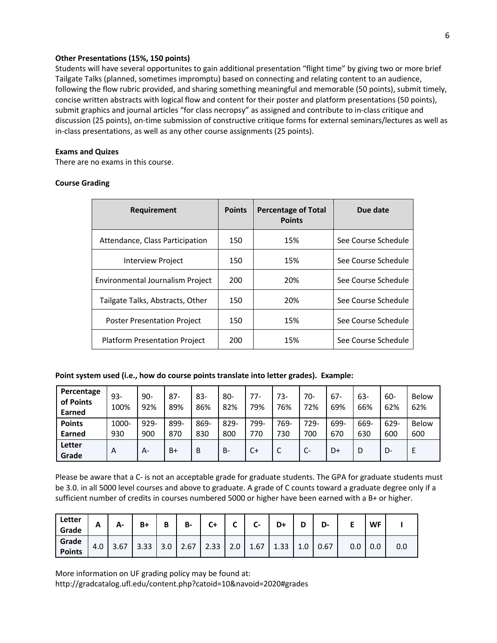# **Other Presentations (15%, 150 points)**

Students will have several opportunites to gain additional presentation "flight time" by giving two or more brief Tailgate Talks (planned, sometimes impromptu) based on connecting and relating content to an audience, following the flow rubric provided, and sharing something meaningful and memorable (50 points), submit timely, concise written abstracts with logical flow and content for their poster and platform presentations (50 points), submit graphics and journal articles "for class necropsy" as assigned and contribute to in-class critique and discussion (25 points), on-time submission of constructive critique forms for external seminars/lectures as well as in-class presentations, as well as any other course assignments (25 points).

## **Exams and Quizes**

There are no exams in this course.

# **Course Grading**

| <b>Requirement</b>                   | <b>Points</b> | <b>Percentage of Total</b><br><b>Points</b> | Due date            |
|--------------------------------------|---------------|---------------------------------------------|---------------------|
| Attendance, Class Participation      | 150           | 15%                                         | See Course Schedule |
| Interview Project                    | 150           | 15%                                         | See Course Schedule |
| Environmental Journalism Project     | 200           | 20%                                         | See Course Schedule |
| Tailgate Talks, Abstracts, Other     | 150           | 20%                                         | See Course Schedule |
| <b>Poster Presentation Project</b>   | 150           | 15%                                         | See Course Schedule |
| <b>Platform Presentation Project</b> | 200           | 15%                                         | See Course Schedule |

# **Point system used (i.e., how do course points translate into letter grades). Example:**

| Percentage<br>of Points<br>Earned | $93 -$<br>100% | $90 -$<br>92% | $87 -$<br>89% | $83-$<br>86% | $80 -$<br>82% | 77-<br>79% | 73-<br>76% | 70-<br>72% | $67 -$<br>69% | 63-<br>66% | 60-<br>62% | <b>Below</b><br>62% |
|-----------------------------------|----------------|---------------|---------------|--------------|---------------|------------|------------|------------|---------------|------------|------------|---------------------|
| <b>Points</b>                     | 1000-          | $929 -$       | 899-          | 869-         | 829-          | 799-       | 769-       | 729-       | 699-          | 669-       | 629-       | <b>Below</b>        |
| Earned                            | 930            | 900           | 870           | 830          | 800           | 770        | 730        | 700        | 670           | 630        | 600        | 600                 |
| Letter<br>Grade                   | A              | А-            | $B+$          | B            | <b>B-</b>     | $C+$       |            | $C-$       | D+            | D          | D-         |                     |

Please be aware that a C- is not an acceptable grade for graduate students. The GPA for graduate students must be 3.0. in all 5000 level courses and above to graduate. A grade of C counts toward a graduate degree only if a sufficient number of credits in courses numbered 5000 or higher have been earned with a B+ or higher.

| Letter<br>Grade        | A   | А-   | B+   | Ð<br>D | <b>B-</b> | $C+$ | ∼   | ◠<br>$\sim$ | D+   |     | D-   | -   | <b>WF</b> |     |
|------------------------|-----|------|------|--------|-----------|------|-----|-------------|------|-----|------|-----|-----------|-----|
| Grade<br><b>Points</b> | 4.0 | 3.67 | 3.33 | 3.0    | 2.67      | 2.33 | 2.0 | 1.67        | 1.33 | 1.0 | 0.67 | 0.0 | 0.0       | 0.0 |

More information on UF grading policy may be found at: http://gradcatalog.ufl.edu/content.php?catoid=10&navoid=2020#grades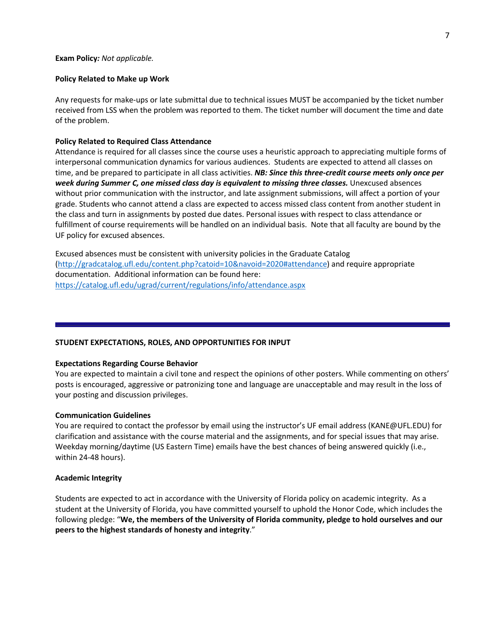#### **Policy Related to Make up Work**

Any requests for make-ups or late submittal due to technical issues MUST be accompanied by the ticket number received from LSS when the problem was reported to them. The ticket number will document the time and date of the problem.

#### **Policy Related to Required Class Attendance**

Attendance is required for all classes since the course uses a heuristic approach to appreciating multiple forms of interpersonal communication dynamics for various audiences. Students are expected to attend all classes on time, and be prepared to participate in all class activities. *NB: Since this three-credit course meets only once per week during Summer C, one missed class day is equivalent to missing three classes.* Unexcused absences without prior communication with the instructor, and late assignment submissions, will affect a portion of your grade. Students who cannot attend a class are expected to access missed class content from another student in the class and turn in assignments by posted due dates. Personal issues with respect to class attendance or fulfillment of course requirements will be handled on an individual basis. Note that all faculty are bound by the UF policy for excused absences.

Excused absences must be consistent with university policies in the Graduate Catalog (http://gradcatalog.ufl.edu/content.php?catoid=10&navoid=2020#attendance) and require appropriate documentation. Additional information can be found here: https://catalog.ufl.edu/ugrad/current/regulations/info/attendance.aspx

#### **STUDENT EXPECTATIONS, ROLES, AND OPPORTUNITIES FOR INPUT**

#### **Expectations Regarding Course Behavior**

You are expected to maintain a civil tone and respect the opinions of other posters. While commenting on others' posts is encouraged, aggressive or patronizing tone and language are unacceptable and may result in the loss of your posting and discussion privileges.

#### **Communication Guidelines**

You are required to contact the professor by email using the instructor's UF email address (KANE@UFL.EDU) for clarification and assistance with the course material and the assignments, and for special issues that may arise. Weekday morning/daytime (US Eastern Time) emails have the best chances of being answered quickly (i.e., within 24-48 hours).

#### **Academic Integrity**

Students are expected to act in accordance with the University of Florida policy on academic integrity. As a student at the University of Florida, you have committed yourself to uphold the Honor Code, which includes the following pledge: "**We, the members of the University of Florida community, pledge to hold ourselves and our peers to the highest standards of honesty and integrity**."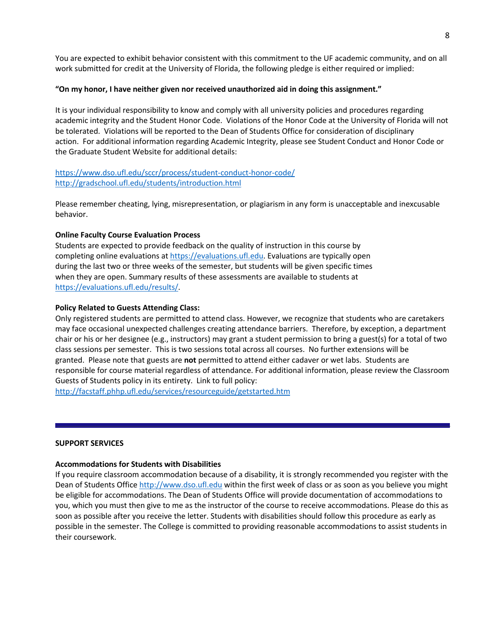You are expected to exhibit behavior consistent with this commitment to the UF academic community, and on all work submitted for credit at the University of Florida, the following pledge is either required or implied:

# **"On my honor, I have neither given nor received unauthorized aid in doing this assignment."**

It is your individual responsibility to know and comply with all university policies and procedures regarding academic integrity and the Student Honor Code. Violations of the Honor Code at the University of Florida will not be tolerated. Violations will be reported to the Dean of Students Office for consideration of disciplinary action. For additional information regarding Academic Integrity, please see Student Conduct and Honor Code or the Graduate Student Website for additional details:

# https://www.dso.ufl.edu/sccr/process/student-conduct-honor-code/ http://gradschool.ufl.edu/students/introduction.html

Please remember cheating, lying, misrepresentation, or plagiarism in any form is unacceptable and inexcusable behavior.

## **Online Faculty Course Evaluation Process**

Students are expected to provide feedback on the quality of instruction in this course by completing online evaluations at https://evaluations.ufl.edu. Evaluations are typically open during the last two or three weeks of the semester, but students will be given specific times when they are open. Summary results of these assessments are available to students at https://evaluations.ufl.edu/results/.

## **Policy Related to Guests Attending Class:**

Only registered students are permitted to attend class. However, we recognize that students who are caretakers may face occasional unexpected challenges creating attendance barriers. Therefore, by exception, a department chair or his or her designee (e.g., instructors) may grant a student permission to bring a guest(s) for a total of two class sessions per semester. This is two sessions total across all courses. No further extensions will be granted. Please note that guests are **not** permitted to attend either cadaver or wet labs. Students are responsible for course material regardless of attendance. For additional information, please review the Classroom Guests of Students policy in its entirety. Link to full policy:

http://facstaff.phhp.ufl.edu/services/resourceguide/getstarted.htm

## **SUPPORT SERVICES**

## **Accommodations for Students with Disabilities**

If you require classroom accommodation because of a disability, it is strongly recommended you register with the Dean of Students Office http://www.dso.ufl.edu within the first week of class or as soon as you believe you might be eligible for accommodations. The Dean of Students Office will provide documentation of accommodations to you, which you must then give to me as the instructor of the course to receive accommodations. Please do this as soon as possible after you receive the letter. Students with disabilities should follow this procedure as early as possible in the semester. The College is committed to providing reasonable accommodations to assist students in their coursework.